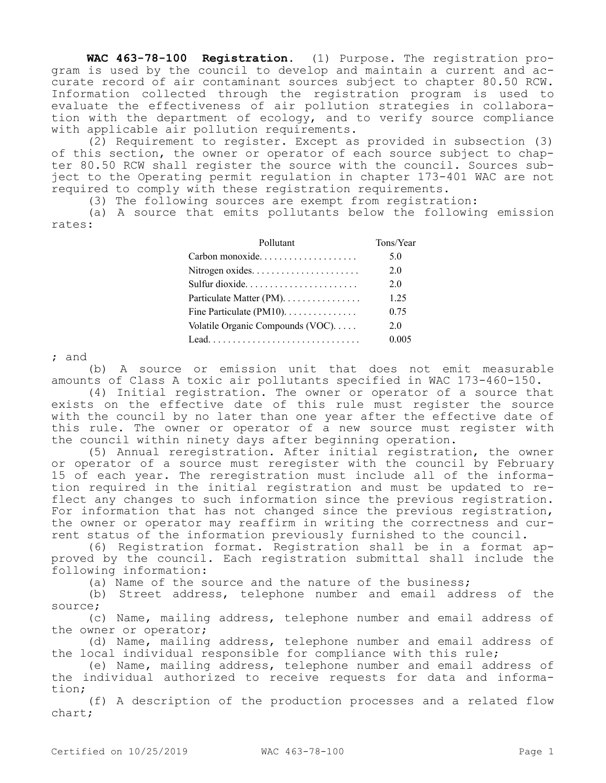**WAC 463-78-100 Registration.** (1) Purpose. The registration program is used by the council to develop and maintain a current and accurate record of air contaminant sources subject to chapter 80.50 RCW. Information collected through the registration program is used to evaluate the effectiveness of air pollution strategies in collaboration with the department of ecology, and to verify source compliance with applicable air pollution requirements.

(2) Requirement to register. Except as provided in subsection (3) of this section, the owner or operator of each source subject to chapter 80.50 RCW shall register the source with the council. Sources subject to the Operating permit regulation in chapter 173-401 WAC are not required to comply with these registration requirements.

(3) The following sources are exempt from registration:

(a) A source that emits pollutants below the following emission rates:

| Pollutant                        | Tons/Year |
|----------------------------------|-----------|
| Carbon monoxide                  | 5.0       |
| Nitrogen oxides                  | 2.0       |
| Sulfur dioxide                   | 2.0       |
| Particulate Matter (PM).         | 1.25      |
| Fine Particulate $(PM10)$        | 0.75      |
| Volatile Organic Compounds (VOC) | 2.0       |
|                                  | 0.005     |

; and

(b) A source or emission unit that does not emit measurable amounts of Class A toxic air pollutants specified in WAC 173-460-150.

(4) Initial registration. The owner or operator of a source that exists on the effective date of this rule must register the source with the council by no later than one year after the effective date of this rule. The owner or operator of a new source must register with the council within ninety days after beginning operation.

(5) Annual reregistration. After initial registration, the owner or operator of a source must reregister with the council by February 15 of each year. The reregistration must include all of the information required in the initial registration and must be updated to reflect any changes to such information since the previous registration. For information that has not changed since the previous registration, the owner or operator may reaffirm in writing the correctness and current status of the information previously furnished to the council.

(6) Registration format. Registration shall be in a format approved by the council. Each registration submittal shall include the following information:

(a) Name of the source and the nature of the business;

(b) Street address, telephone number and email address of the source;

(c) Name, mailing address, telephone number and email address of the owner or operator;

(d) Name, mailing address, telephone number and email address of the local individual responsible for compliance with this rule;

(e) Name, mailing address, telephone number and email address of the individual authorized to receive requests for data and information;

(f) A description of the production processes and a related flow chart;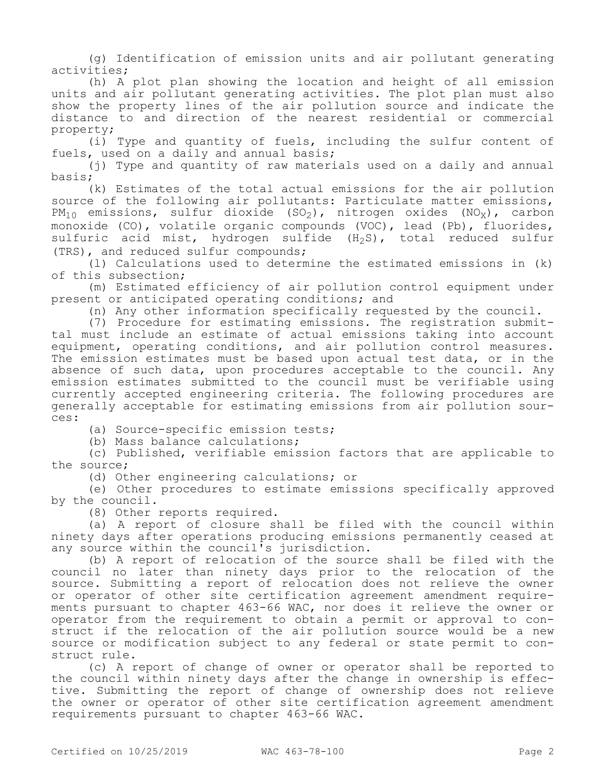(g) Identification of emission units and air pollutant generating activities;

(h) A plot plan showing the location and height of all emission units and air pollutant generating activities. The plot plan must also show the property lines of the air pollution source and indicate the distance to and direction of the nearest residential or commercial property;

(i) Type and quantity of fuels, including the sulfur content of fuels, used on a daily and annual basis;

(j) Type and quantity of raw materials used on a daily and annual basis;

(k) Estimates of the total actual emissions for the air pollution source of the following air pollutants: Particulate matter emissions,  $PM_{10}$  emissions, sulfur dioxide (SO<sub>2</sub>), nitrogen oxides (NO<sub>X</sub>), carbon monoxide (CO), volatile organic compounds (VOC), lead (Pb), fluorides, sulfuric acid mist, hydrogen sulfide  $(H_2S)$ , total reduced sulfur (TRS), and reduced sulfur compounds;

(l) Calculations used to determine the estimated emissions in (k) of this subsection;

(m) Estimated efficiency of air pollution control equipment under present or anticipated operating conditions; and

(n) Any other information specifically requested by the council.

(7) Procedure for estimating emissions. The registration submittal must include an estimate of actual emissions taking into account equipment, operating conditions, and air pollution control measures. The emission estimates must be based upon actual test data, or in the absence of such data, upon procedures acceptable to the council. Any emission estimates submitted to the council must be verifiable using currently accepted engineering criteria. The following procedures are generally acceptable for estimating emissions from air pollution sources:

(a) Source-specific emission tests;

(b) Mass balance calculations;

(c) Published, verifiable emission factors that are applicable to the source;

(d) Other engineering calculations; or

(e) Other procedures to estimate emissions specifically approved by the council.

(8) Other reports required.

(a) A report of closure shall be filed with the council within ninety days after operations producing emissions permanently ceased at any source within the council's jurisdiction.

(b) A report of relocation of the source shall be filed with the council no later than ninety days prior to the relocation of the source. Submitting a report of relocation does not relieve the owner or operator of other site certification agreement amendment requirements pursuant to chapter 463-66 WAC, nor does it relieve the owner or operator from the requirement to obtain a permit or approval to construct if the relocation of the air pollution source would be a new source or modification subject to any federal or state permit to construct rule.

(c) A report of change of owner or operator shall be reported to the council within ninety days after the change in ownership is effective. Submitting the report of change of ownership does not relieve the owner or operator of other site certification agreement amendment requirements pursuant to chapter 463-66 WAC.